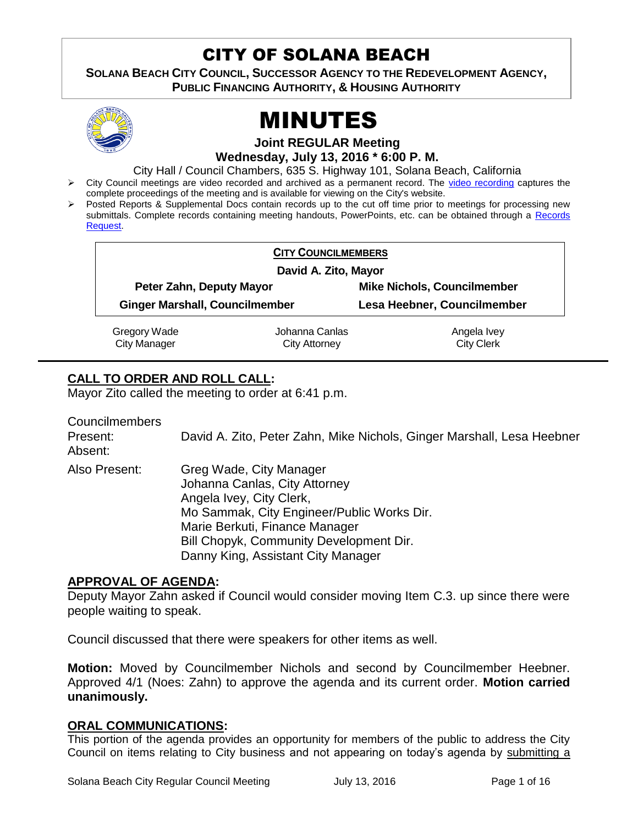# CITY OF SOLANA BEACH

**SOLANA BEACH CITY COUNCIL, SUCCESSOR AGENCY TO THE REDEVELOPMENT AGENCY, PUBLIC FINANCING AUTHORITY, & HOUSING AUTHORITY** 



# MINUTES

**Joint REGULAR Meeting Wednesday, July 13, 2016 \* 6:00 P. M.**

City Hall / Council Chambers, 635 S. Highway 101, Solana Beach, California

- > City Council meetings are video recorded and archived as a permanent record. The [video recording](https://solanabeach.12milesout.com/video/meeting/dce1a37a-fcc9-4bd6-8457-1190c9f31946) captures the complete proceedings of the meeting and is available for viewing on the City's website.
- Posted Reports & Supplemental Docs contain records up to the cut off time prior to meetings for processing new submittals. Complete records containing meeting handouts, PowerPoints, etc. can be obtained through a Records [Request.](http://www.ci.solana-beach.ca.us/index.asp?SEC=F5D45D10-70CE-4291-A27C-7BD633FC6742&Type=B_BASIC)

| <b>CITY COUNCILMEMBERS</b>            |                |                                    |
|---------------------------------------|----------------|------------------------------------|
| David A. Zito, Mayor                  |                |                                    |
| Peter Zahn, Deputy Mayor              |                | <b>Mike Nichols, Councilmember</b> |
| <b>Ginger Marshall, Councilmember</b> |                | Lesa Heebner, Councilmember        |
| Gregory Wade                          | Johanna Canlas | Angela Ivey                        |
| <b>City Manager</b>                   | City Attorney  | <b>City Clerk</b>                  |

# **CALL TO ORDER AND ROLL CALL:**

Mayor Zito called the meeting to order at 6:41 p.m.

Councilmembers Present: David A. Zito, Peter Zahn, Mike Nichols, Ginger Marshall, Lesa Heebner Absent: Also Present: Greg Wade, City Manager Johanna Canlas, City Attorney Angela Ivey, City Clerk, Mo Sammak, City Engineer/Public Works Dir. Marie Berkuti, Finance Manager Bill Chopyk, Community Development Dir. Danny King, Assistant City Manager

## **APPROVAL OF AGENDA:**

Deputy Mayor Zahn asked if Council would consider moving Item C.3. up since there were people waiting to speak.

Council discussed that there were speakers for other items as well.

**Motion:** Moved by Councilmember Nichols and second by Councilmember Heebner. Approved 4/1 (Noes: Zahn) to approve the agenda and its current order. **Motion carried unanimously.**

## **ORAL COMMUNICATIONS:**

This portion of the agenda provides an opportunity for members of the public to address the City Council on items relating to City business and not appearing on today's agenda by submitting a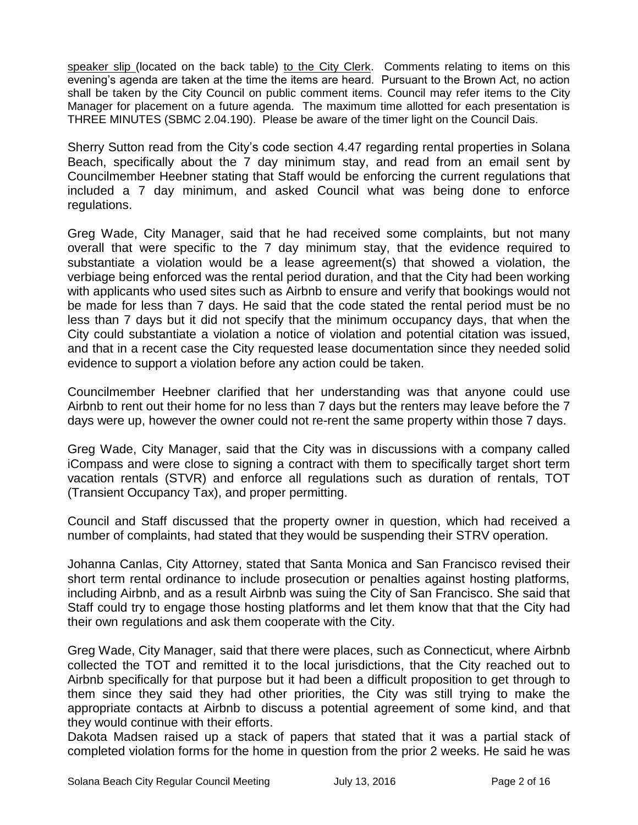speaker slip (located on the back table) to the City Clerk. Comments relating to items on this evening's agenda are taken at the time the items are heard. Pursuant to the Brown Act, no action shall be taken by the City Council on public comment items. Council may refer items to the City Manager for placement on a future agenda. The maximum time allotted for each presentation is THREE MINUTES (SBMC 2.04.190). Please be aware of the timer light on the Council Dais.

Sherry Sutton read from the City's code section 4.47 regarding rental properties in Solana Beach, specifically about the 7 day minimum stay, and read from an email sent by Councilmember Heebner stating that Staff would be enforcing the current regulations that included a 7 day minimum, and asked Council what was being done to enforce regulations.

Greg Wade, City Manager, said that he had received some complaints, but not many overall that were specific to the 7 day minimum stay, that the evidence required to substantiate a violation would be a lease agreement(s) that showed a violation, the verbiage being enforced was the rental period duration, and that the City had been working with applicants who used sites such as Airbnb to ensure and verify that bookings would not be made for less than 7 days. He said that the code stated the rental period must be no less than 7 days but it did not specify that the minimum occupancy days, that when the City could substantiate a violation a notice of violation and potential citation was issued, and that in a recent case the City requested lease documentation since they needed solid evidence to support a violation before any action could be taken.

Councilmember Heebner clarified that her understanding was that anyone could use Airbnb to rent out their home for no less than 7 days but the renters may leave before the 7 days were up, however the owner could not re-rent the same property within those 7 days.

Greg Wade, City Manager, said that the City was in discussions with a company called iCompass and were close to signing a contract with them to specifically target short term vacation rentals (STVR) and enforce all regulations such as duration of rentals, TOT (Transient Occupancy Tax), and proper permitting.

Council and Staff discussed that the property owner in question, which had received a number of complaints, had stated that they would be suspending their STRV operation.

Johanna Canlas, City Attorney, stated that Santa Monica and San Francisco revised their short term rental ordinance to include prosecution or penalties against hosting platforms, including Airbnb, and as a result Airbnb was suing the City of San Francisco. She said that Staff could try to engage those hosting platforms and let them know that that the City had their own regulations and ask them cooperate with the City.

Greg Wade, City Manager, said that there were places, such as Connecticut, where Airbnb collected the TOT and remitted it to the local jurisdictions, that the City reached out to Airbnb specifically for that purpose but it had been a difficult proposition to get through to them since they said they had other priorities, the City was still trying to make the appropriate contacts at Airbnb to discuss a potential agreement of some kind, and that they would continue with their efforts.

Dakota Madsen raised up a stack of papers that stated that it was a partial stack of completed violation forms for the home in question from the prior 2 weeks. He said he was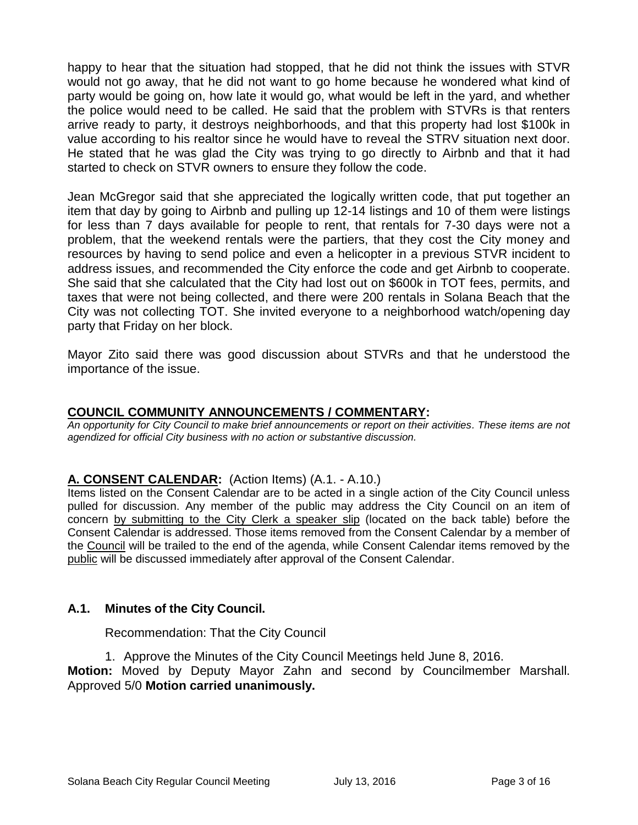happy to hear that the situation had stopped, that he did not think the issues with STVR would not go away, that he did not want to go home because he wondered what kind of party would be going on, how late it would go, what would be left in the yard, and whether the police would need to be called. He said that the problem with STVRs is that renters arrive ready to party, it destroys neighborhoods, and that this property had lost \$100k in value according to his realtor since he would have to reveal the STRV situation next door. He stated that he was glad the City was trying to go directly to Airbnb and that it had started to check on STVR owners to ensure they follow the code.

Jean McGregor said that she appreciated the logically written code, that put together an item that day by going to Airbnb and pulling up 12-14 listings and 10 of them were listings for less than 7 days available for people to rent, that rentals for 7-30 days were not a problem, that the weekend rentals were the partiers, that they cost the City money and resources by having to send police and even a helicopter in a previous STVR incident to address issues, and recommended the City enforce the code and get Airbnb to cooperate. She said that she calculated that the City had lost out on \$600k in TOT fees, permits, and taxes that were not being collected, and there were 200 rentals in Solana Beach that the City was not collecting TOT. She invited everyone to a neighborhood watch/opening day party that Friday on her block.

Mayor Zito said there was good discussion about STVRs and that he understood the importance of the issue.

# **COUNCIL COMMUNITY ANNOUNCEMENTS / COMMENTARY:**

*An opportunity for City Council to make brief announcements or report on their activities. These items are not agendized for official City business with no action or substantive discussion.* 

## **A. CONSENT CALENDAR:** (Action Items) (A.1. - A.10.)

Items listed on the Consent Calendar are to be acted in a single action of the City Council unless pulled for discussion. Any member of the public may address the City Council on an item of concern by submitting to the City Clerk a speaker slip (located on the back table) before the Consent Calendar is addressed. Those items removed from the Consent Calendar by a member of the Council will be trailed to the end of the agenda, while Consent Calendar items removed by the public will be discussed immediately after approval of the Consent Calendar.

## **A.1. Minutes of the City Council.**

Recommendation: That the City Council

1. Approve the Minutes of the City Council Meetings held June 8, 2016.

**Motion:** Moved by Deputy Mayor Zahn and second by Councilmember Marshall. Approved 5/0 **Motion carried unanimously.**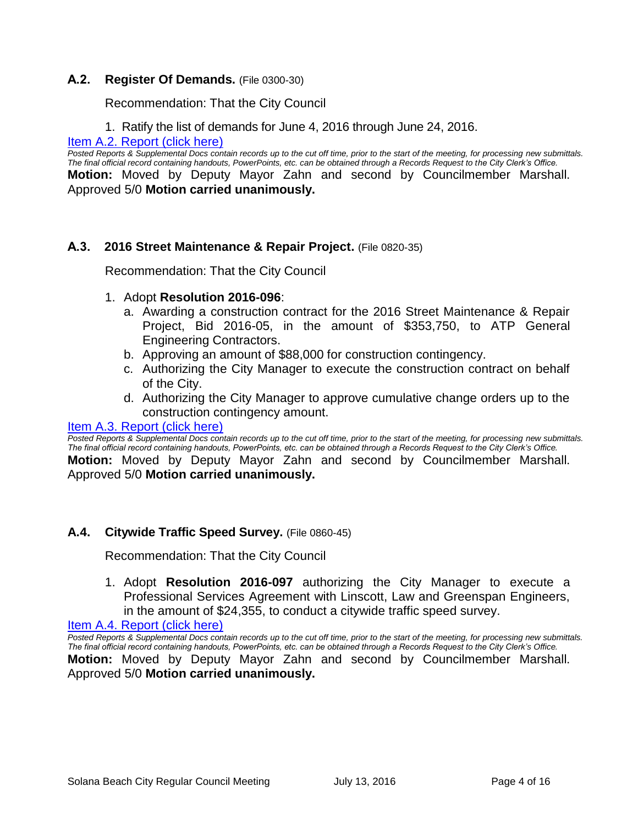#### **A.2. Register Of Demands.** (File 0300-30)

Recommendation: That the City Council

1. Ratify the list of demands for June 4, 2016 through June 24, 2016.

[Item A.2. Report \(click here\)](https://solanabeach.govoffice3.com/vertical/Sites/%7B840804C2-F869-4904-9AE3-720581350CE7%7D/uploads/Item_A.2._Report_(click_here)_07-13-16.PDF)

*Posted Reports & Supplemental Docs contain records up to the cut off time, prior to the start of the meeting, for processing new submittals. The final official record containing handouts, PowerPoints, etc. can be obtained through a Records Request to the City Clerk's Office.* **Motion:** Moved by Deputy Mayor Zahn and second by Councilmember Marshall. Approved 5/0 **Motion carried unanimously.**

#### **A.3. 2016 Street Maintenance & Repair Project.** (File 0820-35)

Recommendation: That the City Council

- 1. Adopt **Resolution 2016-096**:
	- a. Awarding a construction contract for the 2016 Street Maintenance & Repair Project, Bid 2016-05, in the amount of \$353,750, to ATP General Engineering Contractors.
	- b. Approving an amount of \$88,000 for construction contingency.
	- c. Authorizing the City Manager to execute the construction contract on behalf of the City.
	- d. Authorizing the City Manager to approve cumulative change orders up to the construction contingency amount.

#### [Item A.3. Report \(click here\)](https://solanabeach.govoffice3.com/vertical/Sites/%7B840804C2-F869-4904-9AE3-720581350CE7%7D/uploads/Item_A.3._Report_(click_here)_07-13-16.PDF)

*Posted Reports & Supplemental Docs contain records up to the cut off time, prior to the start of the meeting, for processing new submittals. The final official record containing handouts, PowerPoints, etc. can be obtained through a Records Request to the City Clerk's Office.* **Motion:** Moved by Deputy Mayor Zahn and second by Councilmember Marshall. Approved 5/0 **Motion carried unanimously.**

#### **A.4. Citywide Traffic Speed Survey.** (File 0860-45)

Recommendation: That the City Council

1. Adopt **Resolution 2016-097** authorizing the City Manager to execute a Professional Services Agreement with Linscott, Law and Greenspan Engineers, in the amount of \$24,355, to conduct a citywide traffic speed survey.

[Item A.4. Report \(click here\)](https://solanabeach.govoffice3.com/vertical/Sites/%7B840804C2-F869-4904-9AE3-720581350CE7%7D/uploads/Item_A.4._Report_(click_here)_07-13-16.PDF)

*Posted Reports & Supplemental Docs contain records up to the cut off time, prior to the start of the meeting, for processing new submittals. The final official record containing handouts, PowerPoints, etc. can be obtained through a Records Request to the City Clerk's Office.* **Motion:** Moved by Deputy Mayor Zahn and second by Councilmember Marshall. Approved 5/0 **Motion carried unanimously.**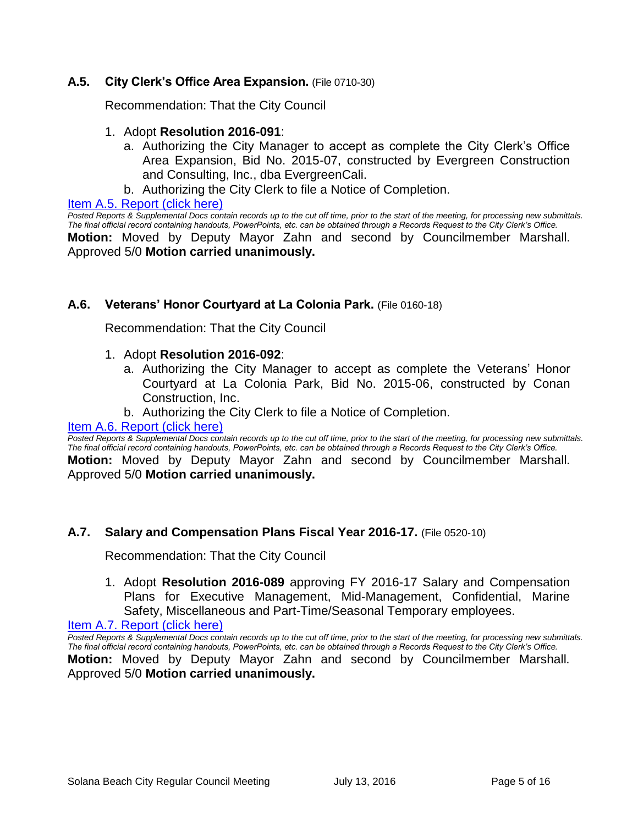## **A.5. City Clerk's Office Area Expansion.** (File 0710-30)

Recommendation: That the City Council

#### 1. Adopt **Resolution 2016-091**:

- a. Authorizing the City Manager to accept as complete the City Clerk's Office Area Expansion, Bid No. 2015-07, constructed by Evergreen Construction and Consulting, Inc., dba EvergreenCali.
- b. Authorizing the City Clerk to file a Notice of Completion.

Item A.5. [Report \(click here\)](https://solanabeach.govoffice3.com/vertical/Sites/%7B840804C2-F869-4904-9AE3-720581350CE7%7D/uploads/Item_A.5._Report_(click_here)_07-13-16.PDF)

*Posted Reports & Supplemental Docs contain records up to the cut off time, prior to the start of the meeting, for processing new submittals. The final official record containing handouts, PowerPoints, etc. can be obtained through a Records Request to the City Clerk's Office.* **Motion:** Moved by Deputy Mayor Zahn and second by Councilmember Marshall. Approved 5/0 **Motion carried unanimously.**

## **A.6. Veterans' Honor Courtyard at La Colonia Park.** (File 0160-18)

Recommendation: That the City Council

- 1. Adopt **Resolution 2016-092**:
	- a. Authorizing the City Manager to accept as complete the Veterans' Honor Courtyard at La Colonia Park, Bid No. 2015-06, constructed by Conan Construction, Inc.
	- b. Authorizing the City Clerk to file a Notice of Completion.

#### [Item A.6. Report \(click here\)](https://solanabeach.govoffice3.com/vertical/Sites/%7B840804C2-F869-4904-9AE3-720581350CE7%7D/uploads/Item_A.6._Report_(click_here)_07-13-16.PDF)

*Posted Reports & Supplemental Docs contain records up to the cut off time, prior to the start of the meeting, for processing new submittals. The final official record containing handouts, PowerPoints, etc. can be obtained through a Records Request to the City Clerk's Office.* **Motion:** Moved by Deputy Mayor Zahn and second by Councilmember Marshall. Approved 5/0 **Motion carried unanimously.**

## **A.7. Salary and Compensation Plans Fiscal Year 2016-17.** (File 0520-10)

Recommendation: That the City Council

1. Adopt **Resolution 2016-089** approving FY 2016-17 Salary and Compensation Plans for Executive Management, Mid-Management, Confidential, Marine Safety, Miscellaneous and Part-Time/Seasonal Temporary employees.

[Item A.7. Report \(click here\)](https://solanabeach.govoffice3.com/vertical/Sites/%7B840804C2-F869-4904-9AE3-720581350CE7%7D/uploads/Item_A.7._Report_(click_here)_07-13-16.PDF)

*Posted Reports & Supplemental Docs contain records up to the cut off time, prior to the start of the meeting, for processing new submittals. The final official record containing handouts, PowerPoints, etc. can be obtained through a Records Request to the City Clerk's Office.* **Motion:** Moved by Deputy Mayor Zahn and second by Councilmember Marshall. Approved 5/0 **Motion carried unanimously.**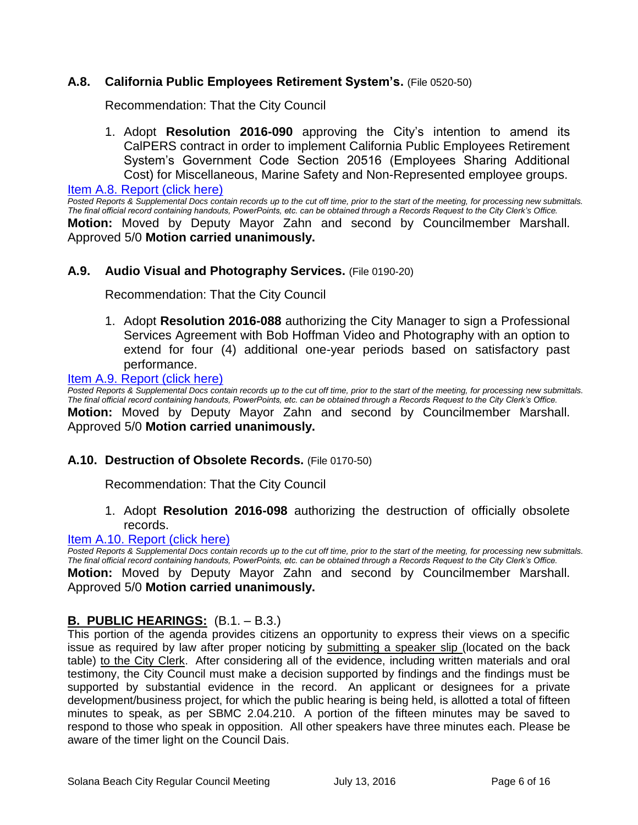## **A.8. California Public Employees Retirement System's.** (File 0520-50)

Recommendation: That the City Council

1. Adopt **Resolution 2016-090** approving the City's intention to amend its CalPERS contract in order to implement California Public Employees Retirement System's Government Code Section 20516 (Employees Sharing Additional Cost) for Miscellaneous, Marine Safety and Non-Represented employee groups.

[Item A.8. Report \(click here\)](https://solanabeach.govoffice3.com/vertical/Sites/%7B840804C2-F869-4904-9AE3-720581350CE7%7D/uploads/Item_A.8._Report_(click_here)_07-13-16.PDF)

*Posted Reports & Supplemental Docs contain records up to the cut off time, prior to the start of the meeting, for processing new submittals. The final official record containing handouts, PowerPoints, etc. can be obtained through a Records Request to the City Clerk's Office.* **Motion:** Moved by Deputy Mayor Zahn and second by Councilmember Marshall. Approved 5/0 **Motion carried unanimously.**

#### **A.9. Audio Visual and Photography Services.** (File 0190-20)

Recommendation: That the City Council

1. Adopt **Resolution 2016-088** authorizing the City Manager to sign a Professional Services Agreement with Bob Hoffman Video and Photography with an option to extend for four (4) additional one-year periods based on satisfactory past performance.

#### [Item A.9. Report \(click here\)](https://solanabeach.govoffice3.com/vertical/Sites/%7B840804C2-F869-4904-9AE3-720581350CE7%7D/uploads/Item_A.9._Report_(click_here)_07-13-16.PDF)

*Posted Reports & Supplemental Docs contain records up to the cut off time, prior to the start of the meeting, for processing new submittals. The final official record containing handouts, PowerPoints, etc. can be obtained through a Records Request to the City Clerk's Office.* **Motion:** Moved by Deputy Mayor Zahn and second by Councilmember Marshall. Approved 5/0 **Motion carried unanimously.**

#### **A.10. Destruction of Obsolete Records.** (File 0170-50)

Recommendation: That the City Council

1. Adopt **Resolution 2016-098** authorizing the destruction of officially obsolete records.

#### [Item A.10. Report \(click here\)](https://solanabeach.govoffice3.com/vertical/Sites/%7B840804C2-F869-4904-9AE3-720581350CE7%7D/uploads/Item_A.10._Report_(click_here)_07-13-16.PDF)

*Posted Reports & Supplemental Docs contain records up to the cut off time, prior to the start of the meeting, for processing new submittals. The final official record containing handouts, PowerPoints, etc. can be obtained through a Records Request to the City Clerk's Office.*

**Motion:** Moved by Deputy Mayor Zahn and second by Councilmember Marshall. Approved 5/0 **Motion carried unanimously.**

#### **B. PUBLIC HEARINGS:** (B.1. – B.3.)

This portion of the agenda provides citizens an opportunity to express their views on a specific issue as required by law after proper noticing by submitting a speaker slip (located on the back table) to the City Clerk. After considering all of the evidence, including written materials and oral testimony, the City Council must make a decision supported by findings and the findings must be supported by substantial evidence in the record. An applicant or designees for a private development/business project, for which the public hearing is being held, is allotted a total of fifteen minutes to speak, as per SBMC 2.04.210. A portion of the fifteen minutes may be saved to respond to those who speak in opposition. All other speakers have three minutes each. Please be aware of the timer light on the Council Dais.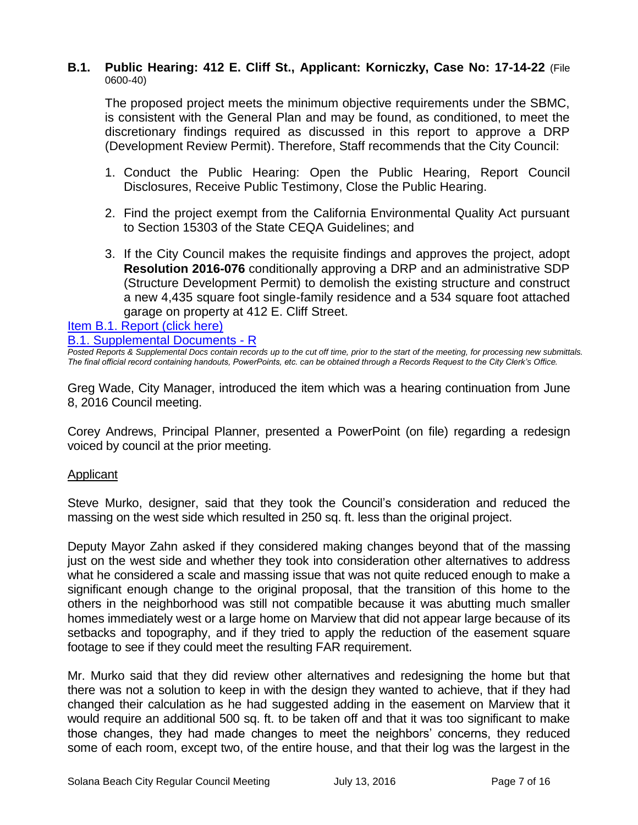#### **B.1. Public Hearing: 412 E. Cliff St., Applicant: Korniczky, Case No: 17-14-22** (File 0600-40)

The proposed project meets the minimum objective requirements under the SBMC, is consistent with the General Plan and may be found, as conditioned, to meet the discretionary findings required as discussed in this report to approve a DRP (Development Review Permit). Therefore, Staff recommends that the City Council:

- 1. Conduct the Public Hearing: Open the Public Hearing, Report Council Disclosures, Receive Public Testimony, Close the Public Hearing.
- 2. Find the project exempt from the California Environmental Quality Act pursuant to Section 15303 of the State CEQA Guidelines; and
- 3. If the City Council makes the requisite findings and approves the project, adopt **Resolution 2016-076** conditionally approving a DRP and an administrative SDP (Structure Development Permit) to demolish the existing structure and construct a new 4,435 square foot single-family residence and a 534 square foot attached garage on property at 412 E. Cliff Street.

[Item B.1. Report \(click here\)](https://solanabeach.govoffice3.com/vertical/Sites/%7B840804C2-F869-4904-9AE3-720581350CE7%7D/uploads/Item_B.1._Report_(click_here)_07-13-16.PDF) 

[B.1. Supplemental Documents -](https://solanabeach.govoffice3.com/vertical/Sites/%7B840804C2-F869-4904-9AE3-720581350CE7%7D/uploads/B.1._Supplemental_Documents_-_R_7-13-16.pdf) R

*Posted Reports & Supplemental Docs contain records up to the cut off time, prior to the start of the meeting, for processing new submittals. The final official record containing handouts, PowerPoints, etc. can be obtained through a Records Request to the City Clerk's Office.*

Greg Wade, City Manager, introduced the item which was a hearing continuation from June 8, 2016 Council meeting.

Corey Andrews, Principal Planner, presented a PowerPoint (on file) regarding a redesign voiced by council at the prior meeting.

## Applicant

Steve Murko, designer, said that they took the Council's consideration and reduced the massing on the west side which resulted in 250 sq. ft. less than the original project.

Deputy Mayor Zahn asked if they considered making changes beyond that of the massing just on the west side and whether they took into consideration other alternatives to address what he considered a scale and massing issue that was not quite reduced enough to make a significant enough change to the original proposal, that the transition of this home to the others in the neighborhood was still not compatible because it was abutting much smaller homes immediately west or a large home on Marview that did not appear large because of its setbacks and topography, and if they tried to apply the reduction of the easement square footage to see if they could meet the resulting FAR requirement.

Mr. Murko said that they did review other alternatives and redesigning the home but that there was not a solution to keep in with the design they wanted to achieve, that if they had changed their calculation as he had suggested adding in the easement on Marview that it would require an additional 500 sq. ft. to be taken off and that it was too significant to make those changes, they had made changes to meet the neighbors' concerns, they reduced some of each room, except two, of the entire house, and that their log was the largest in the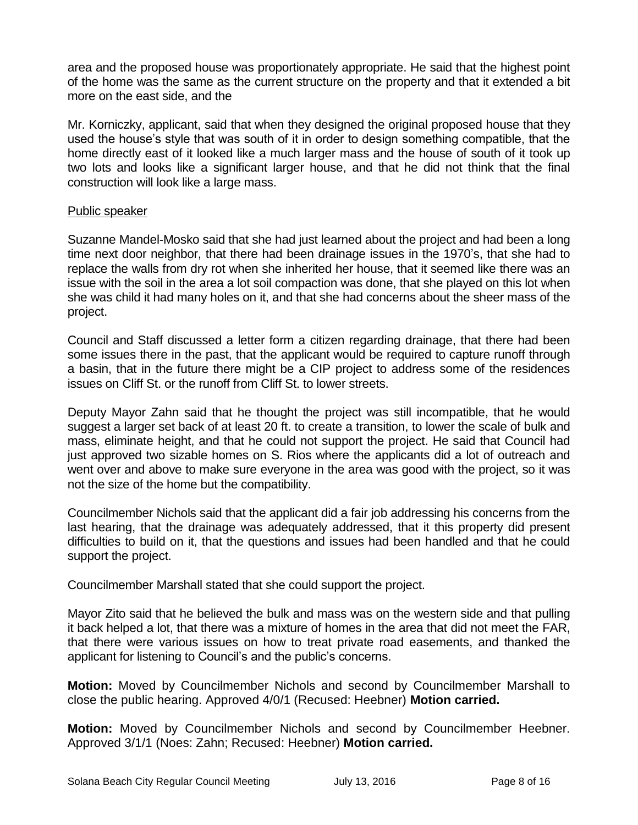area and the proposed house was proportionately appropriate. He said that the highest point of the home was the same as the current structure on the property and that it extended a bit more on the east side, and the

Mr. Korniczky, applicant, said that when they designed the original proposed house that they used the house's style that was south of it in order to design something compatible, that the home directly east of it looked like a much larger mass and the house of south of it took up two lots and looks like a significant larger house, and that he did not think that the final construction will look like a large mass.

## Public speaker

Suzanne Mandel-Mosko said that she had just learned about the project and had been a long time next door neighbor, that there had been drainage issues in the 1970's, that she had to replace the walls from dry rot when she inherited her house, that it seemed like there was an issue with the soil in the area a lot soil compaction was done, that she played on this lot when she was child it had many holes on it, and that she had concerns about the sheer mass of the project.

Council and Staff discussed a letter form a citizen regarding drainage, that there had been some issues there in the past, that the applicant would be required to capture runoff through a basin, that in the future there might be a CIP project to address some of the residences issues on Cliff St. or the runoff from Cliff St. to lower streets.

Deputy Mayor Zahn said that he thought the project was still incompatible, that he would suggest a larger set back of at least 20 ft. to create a transition, to lower the scale of bulk and mass, eliminate height, and that he could not support the project. He said that Council had just approved two sizable homes on S. Rios where the applicants did a lot of outreach and went over and above to make sure everyone in the area was good with the project, so it was not the size of the home but the compatibility.

Councilmember Nichols said that the applicant did a fair job addressing his concerns from the last hearing, that the drainage was adequately addressed, that it this property did present difficulties to build on it, that the questions and issues had been handled and that he could support the project.

Councilmember Marshall stated that she could support the project.

Mayor Zito said that he believed the bulk and mass was on the western side and that pulling it back helped a lot, that there was a mixture of homes in the area that did not meet the FAR, that there were various issues on how to treat private road easements, and thanked the applicant for listening to Council's and the public's concerns.

**Motion:** Moved by Councilmember Nichols and second by Councilmember Marshall to close the public hearing. Approved 4/0/1 (Recused: Heebner) **Motion carried.**

**Motion:** Moved by Councilmember Nichols and second by Councilmember Heebner. Approved 3/1/1 (Noes: Zahn; Recused: Heebner) **Motion carried.**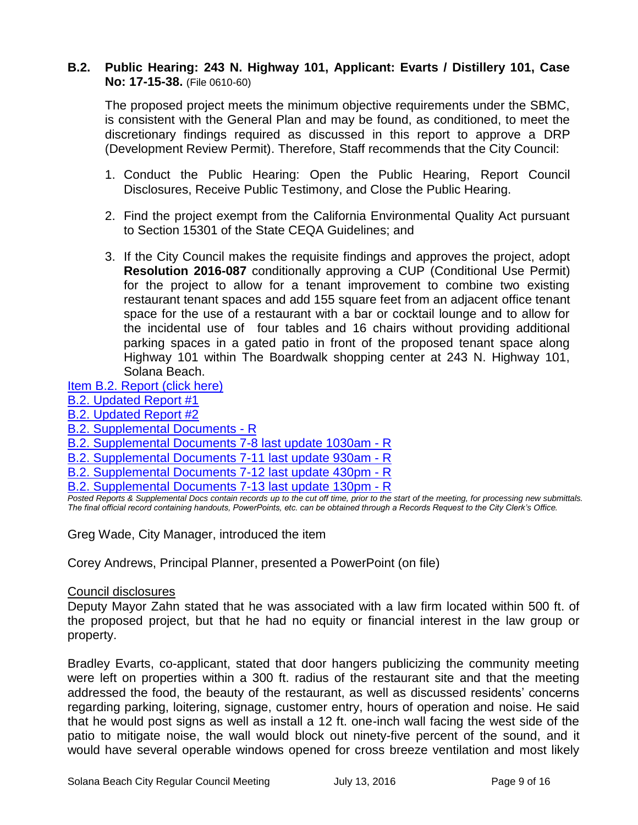## **B.2. Public Hearing: 243 N. Highway 101, Applicant: Evarts / Distillery 101, Case No: 17-15-38.** (File 0610-60)

The proposed project meets the minimum objective requirements under the SBMC, is consistent with the General Plan and may be found, as conditioned, to meet the discretionary findings required as discussed in this report to approve a DRP (Development Review Permit). Therefore, Staff recommends that the City Council:

- 1. Conduct the Public Hearing: Open the Public Hearing, Report Council Disclosures, Receive Public Testimony, and Close the Public Hearing.
- 2. Find the project exempt from the California Environmental Quality Act pursuant to Section 15301 of the State CEQA Guidelines; and
- 3. If the City Council makes the requisite findings and approves the project, adopt **Resolution 2016-087** conditionally approving a CUP (Conditional Use Permit) for the project to allow for a tenant improvement to combine two existing restaurant tenant spaces and add 155 square feet from an adjacent office tenant space for the use of a restaurant with a bar or cocktail lounge and to allow for the incidental use of four tables and 16 chairs without providing additional parking spaces in a gated patio in front of the proposed tenant space along Highway 101 within The Boardwalk shopping center at 243 N. Highway 101, Solana Beach.

## [Item B.2. Report](https://solanabeach.govoffice3.com/vertical/Sites/%7B840804C2-F869-4904-9AE3-720581350CE7%7D/uploads/Item_B.2._Report_(click_here)_07-13-16.PDF) (click here)

## [B.2. Updated Report #1](https://solanabeach.govoffice3.com/vertical/Sites/%7B840804C2-F869-4904-9AE3-720581350CE7%7D/uploads/B.2._Updated_Report_1_7-13-16.pdf)

- [B.2. Updated Report #2](https://solanabeach.govoffice3.com/vertical/Sites/%7B840804C2-F869-4904-9AE3-720581350CE7%7D/uploads/B.2._Updated_Report_2_7-13-16.pdf)
- [B.2. Supplemental Documents -](https://solanabeach.govoffice3.com/vertical/Sites/%7B840804C2-F869-4904-9AE3-720581350CE7%7D/uploads/B.2._Supplemental_Documents_-_R_7-13-16-R.pdf) R
- [B.2. Supplemental Documents 7-8 last update 1030am -](https://solanabeach.govoffice3.com/vertical/Sites/%7B840804C2-F869-4904-9AE3-720581350CE7%7D/uploads/B.2._Supplemental_Documents_7-8_last_update_1030am_-_R.pdf) R
- [B.2. Supplemental Documents 7-11 last update 930am -](https://solanabeach.govoffice3.com/vertical/Sites/%7B840804C2-F869-4904-9AE3-720581350CE7%7D/uploads/B.2._Supplemental_Documents_7-11_last_update_930am_-_R.pdf) R
- [B.2. Supplemental Documents 7-12 last update 430pm -](https://solanabeach.govoffice3.com/vertical/Sites/%7B840804C2-F869-4904-9AE3-720581350CE7%7D/uploads/B.2._Supplemental_Documents_7-12_last_update_430pm-R.pdf) R
- B.2. Supplemental [Documents 7-13 last update 130pm -](https://solanabeach.govoffice3.com/vertical/Sites/%7B840804C2-F869-4904-9AE3-720581350CE7%7D/uploads/B.2._Supplemental_Documents_7-13_last_update_130pm-R.pdf) R

*Posted Reports & Supplemental Docs contain records up to the cut off time, prior to the start of the meeting, for processing new submittals. The final official record containing handouts, PowerPoints, etc. can be obtained through a Records Request to the City Clerk's Office.*

Greg Wade, City Manager, introduced the item

Corey Andrews, Principal Planner, presented a PowerPoint (on file)

#### Council disclosures

Deputy Mayor Zahn stated that he was associated with a law firm located within 500 ft. of the proposed project, but that he had no equity or financial interest in the law group or property.

Bradley Evarts, co-applicant, stated that door hangers publicizing the community meeting were left on properties within a 300 ft. radius of the restaurant site and that the meeting addressed the food, the beauty of the restaurant, as well as discussed residents' concerns regarding parking, loitering, signage, customer entry, hours of operation and noise. He said that he would post signs as well as install a 12 ft. one-inch wall facing the west side of the patio to mitigate noise, the wall would block out ninety-five percent of the sound, and it would have several operable windows opened for cross breeze ventilation and most likely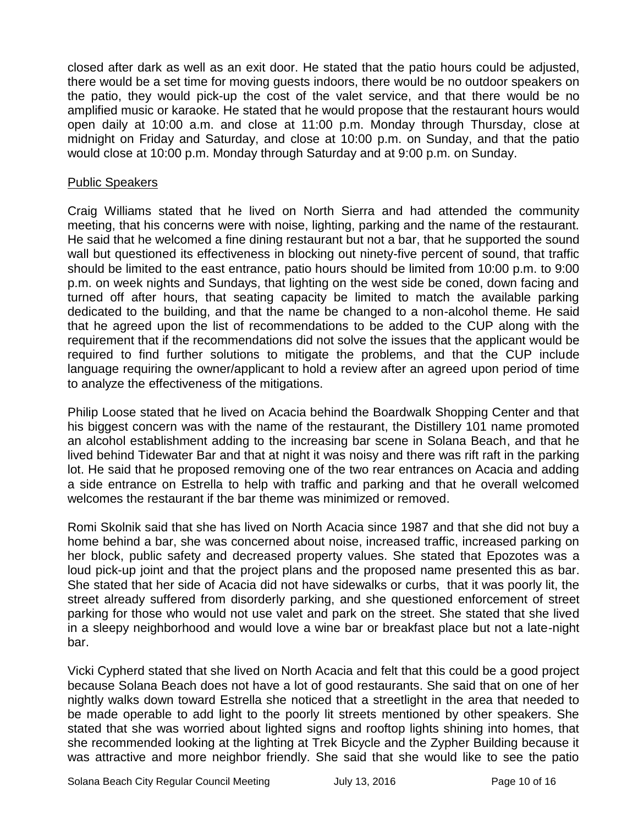closed after dark as well as an exit door. He stated that the patio hours could be adjusted, there would be a set time for moving guests indoors, there would be no outdoor speakers on the patio, they would pick-up the cost of the valet service, and that there would be no amplified music or karaoke. He stated that he would propose that the restaurant hours would open daily at 10:00 a.m. and close at 11:00 p.m. Monday through Thursday, close at midnight on Friday and Saturday, and close at 10:00 p.m. on Sunday, and that the patio would close at 10:00 p.m. Monday through Saturday and at 9:00 p.m. on Sunday.

#### Public Speakers

Craig Williams stated that he lived on North Sierra and had attended the community meeting, that his concerns were with noise, lighting, parking and the name of the restaurant. He said that he welcomed a fine dining restaurant but not a bar, that he supported the sound wall but questioned its effectiveness in blocking out ninety-five percent of sound, that traffic should be limited to the east entrance, patio hours should be limited from 10:00 p.m. to 9:00 p.m. on week nights and Sundays, that lighting on the west side be coned, down facing and turned off after hours, that seating capacity be limited to match the available parking dedicated to the building, and that the name be changed to a non-alcohol theme. He said that he agreed upon the list of recommendations to be added to the CUP along with the requirement that if the recommendations did not solve the issues that the applicant would be required to find further solutions to mitigate the problems, and that the CUP include language requiring the owner/applicant to hold a review after an agreed upon period of time to analyze the effectiveness of the mitigations.

Philip Loose stated that he lived on Acacia behind the Boardwalk Shopping Center and that his biggest concern was with the name of the restaurant, the Distillery 101 name promoted an alcohol establishment adding to the increasing bar scene in Solana Beach, and that he lived behind Tidewater Bar and that at night it was noisy and there was rift raft in the parking lot. He said that he proposed removing one of the two rear entrances on Acacia and adding a side entrance on Estrella to help with traffic and parking and that he overall welcomed welcomes the restaurant if the bar theme was minimized or removed.

Romi Skolnik said that she has lived on North Acacia since 1987 and that she did not buy a home behind a bar, she was concerned about noise, increased traffic, increased parking on her block, public safety and decreased property values. She stated that Epozotes was a loud pick-up joint and that the project plans and the proposed name presented this as bar. She stated that her side of Acacia did not have sidewalks or curbs, that it was poorly lit, the street already suffered from disorderly parking, and she questioned enforcement of street parking for those who would not use valet and park on the street. She stated that she lived in a sleepy neighborhood and would love a wine bar or breakfast place but not a late-night bar.

Vicki Cypherd stated that she lived on North Acacia and felt that this could be a good project because Solana Beach does not have a lot of good restaurants. She said that on one of her nightly walks down toward Estrella she noticed that a streetlight in the area that needed to be made operable to add light to the poorly lit streets mentioned by other speakers. She stated that she was worried about lighted signs and rooftop lights shining into homes, that she recommended looking at the lighting at Trek Bicycle and the Zypher Building because it was attractive and more neighbor friendly. She said that she would like to see the patio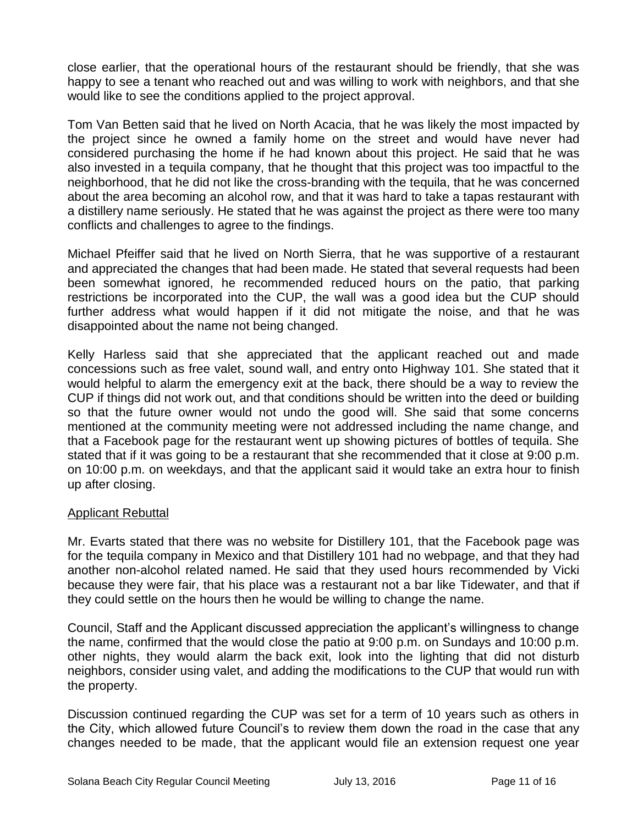close earlier, that the operational hours of the restaurant should be friendly, that she was happy to see a tenant who reached out and was willing to work with neighbors, and that she would like to see the conditions applied to the project approval.

Tom Van Betten said that he lived on North Acacia, that he was likely the most impacted by the project since he owned a family home on the street and would have never had considered purchasing the home if he had known about this project. He said that he was also invested in a tequila company, that he thought that this project was too impactful to the neighborhood, that he did not like the cross-branding with the tequila, that he was concerned about the area becoming an alcohol row, and that it was hard to take a tapas restaurant with a distillery name seriously. He stated that he was against the project as there were too many conflicts and challenges to agree to the findings.

Michael Pfeiffer said that he lived on North Sierra, that he was supportive of a restaurant and appreciated the changes that had been made. He stated that several requests had been been somewhat ignored, he recommended reduced hours on the patio, that parking restrictions be incorporated into the CUP, the wall was a good idea but the CUP should further address what would happen if it did not mitigate the noise, and that he was disappointed about the name not being changed.

Kelly Harless said that she appreciated that the applicant reached out and made concessions such as free valet, sound wall, and entry onto Highway 101. She stated that it would helpful to alarm the emergency exit at the back, there should be a way to review the CUP if things did not work out, and that conditions should be written into the deed or building so that the future owner would not undo the good will. She said that some concerns mentioned at the community meeting were not addressed including the name change, and that a Facebook page for the restaurant went up showing pictures of bottles of tequila. She stated that if it was going to be a restaurant that she recommended that it close at 9:00 p.m. on 10:00 p.m. on weekdays, and that the applicant said it would take an extra hour to finish up after closing.

## Applicant Rebuttal

Mr. Evarts stated that there was no website for Distillery 101, that the Facebook page was for the tequila company in Mexico and that Distillery 101 had no webpage, and that they had another non-alcohol related named. He said that they used hours recommended by Vicki because they were fair, that his place was a restaurant not a bar like Tidewater, and that if they could settle on the hours then he would be willing to change the name.

Council, Staff and the Applicant discussed appreciation the applicant's willingness to change the name, confirmed that the would close the patio at 9:00 p.m. on Sundays and 10:00 p.m. other nights, they would alarm the back exit, look into the lighting that did not disturb neighbors, consider using valet, and adding the modifications to the CUP that would run with the property.

Discussion continued regarding the CUP was set for a term of 10 years such as others in the City, which allowed future Council's to review them down the road in the case that any changes needed to be made, that the applicant would file an extension request one year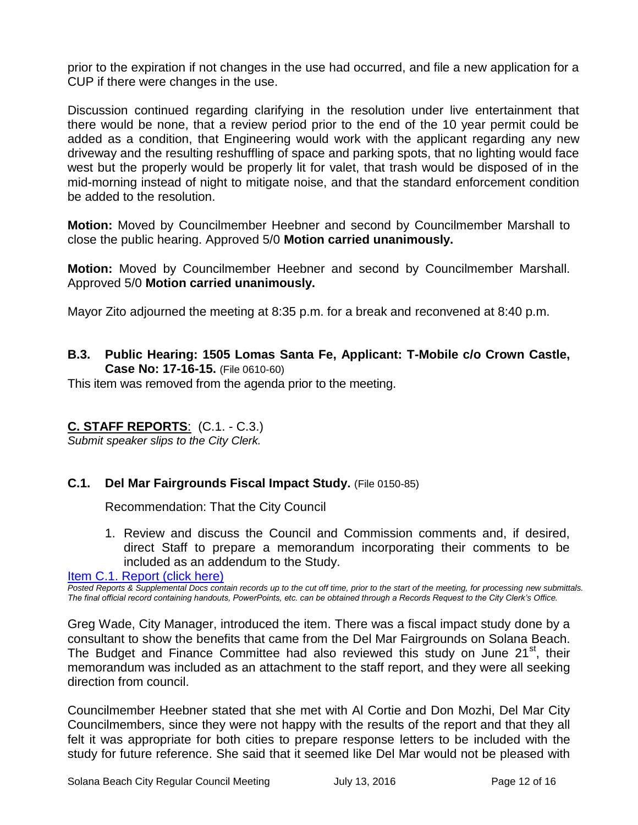prior to the expiration if not changes in the use had occurred, and file a new application for a CUP if there were changes in the use.

Discussion continued regarding clarifying in the resolution under live entertainment that there would be none, that a review period prior to the end of the 10 year permit could be added as a condition, that Engineering would work with the applicant regarding any new driveway and the resulting reshuffling of space and parking spots, that no lighting would face west but the properly would be properly lit for valet, that trash would be disposed of in the mid-morning instead of night to mitigate noise, and that the standard enforcement condition be added to the resolution.

**Motion:** Moved by Councilmember Heebner and second by Councilmember Marshall to close the public hearing. Approved 5/0 **Motion carried unanimously.** 

**Motion:** Moved by Councilmember Heebner and second by Councilmember Marshall. Approved 5/0 **Motion carried unanimously.**

Mayor Zito adjourned the meeting at 8:35 p.m. for a break and reconvened at 8:40 p.m.

**B.3. Public Hearing: 1505 Lomas Santa Fe, Applicant: T-Mobile c/o Crown Castle, Case No: 17-16-15.** (File 0610-60)

This item was removed from the agenda prior to the meeting.

# **C. STAFF REPORTS**: (C.1. - C.3.)

*Submit speaker slips to the City Clerk.*

## **C.1. Del Mar Fairgrounds Fiscal Impact Study.** (File 0150-85)

Recommendation: That the City Council

1. Review and discuss the Council and Commission comments and, if desired, direct Staff to prepare a memorandum incorporating their comments to be included as an addendum to the Study.

[Item C.1. Report \(click here\)](https://solanabeach.govoffice3.com/vertical/Sites/%7B840804C2-F869-4904-9AE3-720581350CE7%7D/uploads/Item_C.1._Report_(click_here)_07-13-16.PDF)

*Posted Reports & Supplemental Docs contain records up to the cut off time, prior to the start of the meeting, for processing new submittals. The final official record containing handouts, PowerPoints, etc. can be obtained through a Records Request to the City Clerk's Office.*

Greg Wade, City Manager, introduced the item. There was a fiscal impact study done by a consultant to show the benefits that came from the Del Mar Fairgrounds on Solana Beach. The Budget and Finance Committee had also reviewed this study on June 21<sup>st</sup>, their memorandum was included as an attachment to the staff report, and they were all seeking direction from council.

Councilmember Heebner stated that she met with Al Cortie and Don Mozhi, Del Mar City Councilmembers, since they were not happy with the results of the report and that they all felt it was appropriate for both cities to prepare response letters to be included with the study for future reference. She said that it seemed like Del Mar would not be pleased with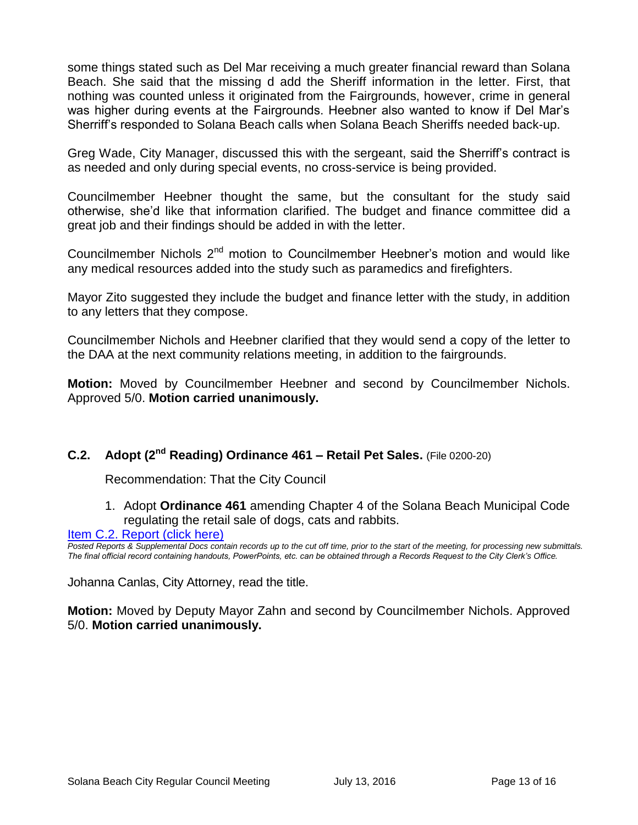some things stated such as Del Mar receiving a much greater financial reward than Solana Beach. She said that the missing d add the Sheriff information in the letter. First, that nothing was counted unless it originated from the Fairgrounds, however, crime in general was higher during events at the Fairgrounds. Heebner also wanted to know if Del Mar's Sherriff's responded to Solana Beach calls when Solana Beach Sheriffs needed back-up.

Greg Wade, City Manager, discussed this with the sergeant, said the Sherriff's contract is as needed and only during special events, no cross-service is being provided.

Councilmember Heebner thought the same, but the consultant for the study said otherwise, she'd like that information clarified. The budget and finance committee did a great job and their findings should be added in with the letter.

Councilmember Nichols  $2<sup>nd</sup>$  motion to Councilmember Heebner's motion and would like any medical resources added into the study such as paramedics and firefighters.

Mayor Zito suggested they include the budget and finance letter with the study, in addition to any letters that they compose.

Councilmember Nichols and Heebner clarified that they would send a copy of the letter to the DAA at the next community relations meeting, in addition to the fairgrounds.

**Motion:** Moved by Councilmember Heebner and second by Councilmember Nichols. Approved 5/0. **Motion carried unanimously.**

# **C.2. Adopt (2nd Reading) Ordinance 461 – Retail Pet Sales.** (File 0200-20)

Recommendation: That the City Council

1. Adopt **Ordinance 461** amending Chapter 4 of the Solana Beach Municipal Code regulating the retail sale of dogs, cats and rabbits.

## [Item C.2. Report \(click here\)](https://solanabeach.govoffice3.com/vertical/Sites/%7B840804C2-F869-4904-9AE3-720581350CE7%7D/uploads/Item_C.2._Report_(click_here)_07-13-16.PDF)

*Posted Reports & Supplemental Docs contain records up to the cut off time, prior to the start of the meeting, for processing new submittals. The final official record containing handouts, PowerPoints, etc. can be obtained through a Records Request to the City Clerk's Office.*

Johanna Canlas, City Attorney, read the title.

**Motion:** Moved by Deputy Mayor Zahn and second by Councilmember Nichols. Approved 5/0. **Motion carried unanimously.**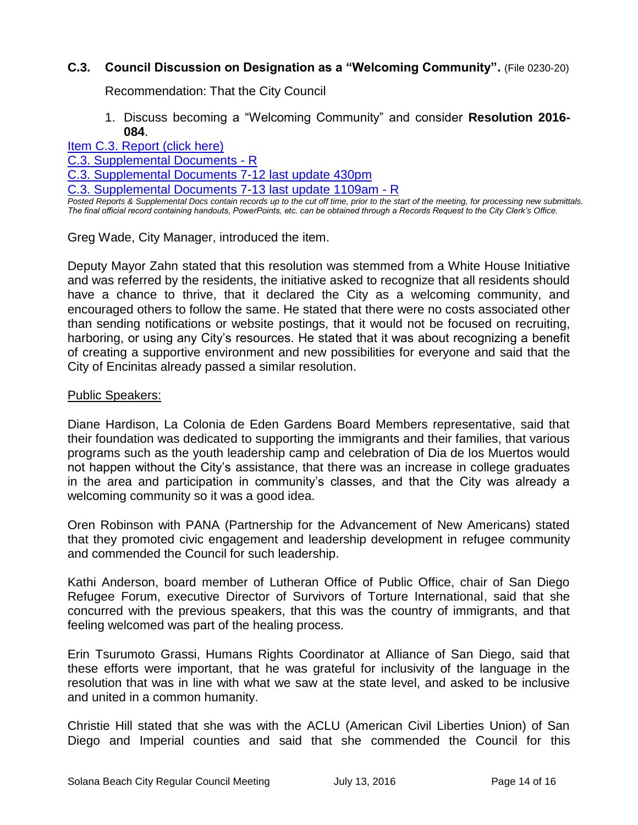# **C.3. Council Discussion on Designation as a "Welcoming Community".** (File 0230-20)

Recommendation: That the City Council

#### 1. Discuss becoming a "Welcoming Community" and consider **Resolution 2016- 084**.

[Item C.3. Report \(click here\)](https://solanabeach.govoffice3.com/vertical/Sites/%7B840804C2-F869-4904-9AE3-720581350CE7%7D/uploads/Item_C.3._Report_(click_here)_07-13-16.PDF)

[C.3. Supplemental Documents -](https://solanabeach.govoffice3.com/vertical/Sites/%7B840804C2-F869-4904-9AE3-720581350CE7%7D/uploads/C.3._Supplemental_Documents_-_R.pdf) R

[C.3. Supplemental Documents 7-12 last update 430pm](https://solanabeach.govoffice3.com/vertical/Sites/%7B840804C2-F869-4904-9AE3-720581350CE7%7D/uploads/C.3._Supplemental_Documents_7-12_last_update_430pm_-_R.pdf)

[C.3. Supplemental Documents 7-13 last update 1109am -](https://solanabeach.govoffice3.com/vertical/Sites/%7B840804C2-F869-4904-9AE3-720581350CE7%7D/uploads/C.3._Supplemental_Documents_7-13_last_update_1109am_-_R.pdf) R

*Posted Reports & Supplemental Docs contain records up to the cut off time, prior to the start of the meeting, for processing new submittals. The final official record containing handouts, PowerPoints, etc. can be obtained through a Records Request to the City Clerk's Office.*

Greg Wade, City Manager, introduced the item.

Deputy Mayor Zahn stated that this resolution was stemmed from a White House Initiative and was referred by the residents, the initiative asked to recognize that all residents should have a chance to thrive, that it declared the City as a welcoming community, and encouraged others to follow the same. He stated that there were no costs associated other than sending notifications or website postings, that it would not be focused on recruiting, harboring, or using any City's resources. He stated that it was about recognizing a benefit of creating a supportive environment and new possibilities for everyone and said that the City of Encinitas already passed a similar resolution.

#### Public Speakers:

Diane Hardison, La Colonia de Eden Gardens Board Members representative, said that their foundation was dedicated to supporting the immigrants and their families, that various programs such as the youth leadership camp and celebration of Dia de los Muertos would not happen without the City's assistance, that there was an increase in college graduates in the area and participation in community's classes, and that the City was already a welcoming community so it was a good idea.

Oren Robinson with PANA (Partnership for the Advancement of New Americans) stated that they promoted civic engagement and leadership development in refugee community and commended the Council for such leadership.

Kathi Anderson, board member of Lutheran Office of Public Office, chair of San Diego Refugee Forum, executive Director of Survivors of Torture International, said that she concurred with the previous speakers, that this was the country of immigrants, and that feeling welcomed was part of the healing process.

Erin Tsurumoto Grassi, Humans Rights Coordinator at Alliance of San Diego, said that these efforts were important, that he was grateful for inclusivity of the language in the resolution that was in line with what we saw at the state level, and asked to be inclusive and united in a common humanity.

Christie Hill stated that she was with the ACLU (American Civil Liberties Union) of San Diego and Imperial counties and said that she commended the Council for this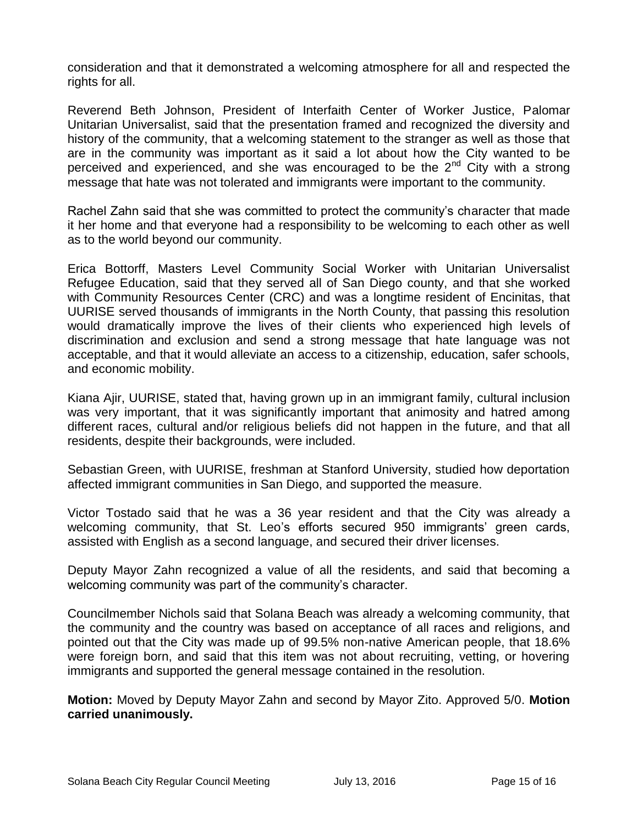consideration and that it demonstrated a welcoming atmosphere for all and respected the rights for all.

Reverend Beth Johnson, President of Interfaith Center of Worker Justice, Palomar Unitarian Universalist, said that the presentation framed and recognized the diversity and history of the community, that a welcoming statement to the stranger as well as those that are in the community was important as it said a lot about how the City wanted to be perceived and experienced, and she was encouraged to be the  $2^{nd}$  City with a strong message that hate was not tolerated and immigrants were important to the community.

Rachel Zahn said that she was committed to protect the community's character that made it her home and that everyone had a responsibility to be welcoming to each other as well as to the world beyond our community.

Erica Bottorff, Masters Level Community Social Worker with Unitarian Universalist Refugee Education, said that they served all of San Diego county, and that she worked with Community Resources Center (CRC) and was a longtime resident of Encinitas, that UURISE served thousands of immigrants in the North County, that passing this resolution would dramatically improve the lives of their clients who experienced high levels of discrimination and exclusion and send a strong message that hate language was not acceptable, and that it would alleviate an access to a citizenship, education, safer schools, and economic mobility.

Kiana Ajir, UURISE, stated that, having grown up in an immigrant family, cultural inclusion was very important, that it was significantly important that animosity and hatred among different races, cultural and/or religious beliefs did not happen in the future, and that all residents, despite their backgrounds, were included.

Sebastian Green, with UURISE, freshman at Stanford University, studied how deportation affected immigrant communities in San Diego, and supported the measure.

Victor Tostado said that he was a 36 year resident and that the City was already a welcoming community, that St. Leo's efforts secured 950 immigrants' green cards, assisted with English as a second language, and secured their driver licenses.

Deputy Mayor Zahn recognized a value of all the residents, and said that becoming a welcoming community was part of the community's character.

Councilmember Nichols said that Solana Beach was already a welcoming community, that the community and the country was based on acceptance of all races and religions, and pointed out that the City was made up of 99.5% non-native American people, that 18.6% were foreign born, and said that this item was not about recruiting, vetting, or hovering immigrants and supported the general message contained in the resolution.

**Motion:** Moved by Deputy Mayor Zahn and second by Mayor Zito. Approved 5/0. **Motion carried unanimously.**